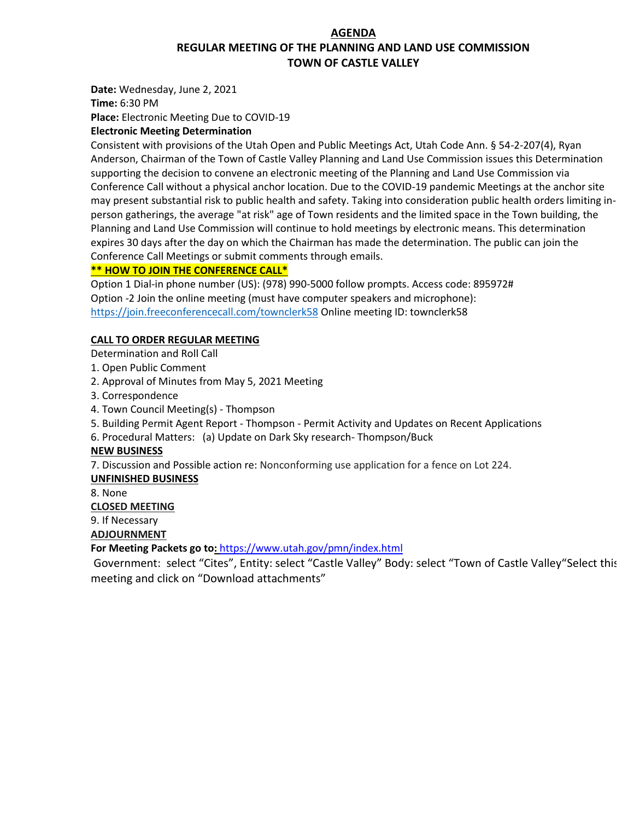# **AGENDA REGULAR MEETING OF THE PLANNING AND LAND USE COMMISSION TOWN OF CASTLE VALLEY**

**Date:** Wednesday, June 2, 2021

**Time:** 6:30 PM

**Place:** Electronic Meeting Due to COVID-19

## **Electronic Meeting Determination**

Consistent with provisions of the Utah Open and Public Meetings Act, Utah Code Ann. § 54-2-207(4), Ryan Anderson, Chairman of the Town of Castle Valley Planning and Land Use Commission issues this Determination supporting the decision to convene an electronic meeting of the Planning and Land Use Commission via Conference Call without a physical anchor location. Due to the COVID-19 pandemic Meetings at the anchor site may present substantial risk to public health and safety. Taking into consideration public health orders limiting inperson gatherings, the average "at risk" age of Town residents and the limited space in the Town building, the Planning and Land Use Commission will continue to hold meetings by electronic means. This determination expires 30 days after the day on which the Chairman has made the determination. The public can join the Conference Call Meetings or submit comments through emails.

### **\*\* HOW TO JOIN THE CONFERENCE CALL\***

Option 1 Dial-in phone number (US): (978) 990-5000 follow prompts. Access code: 895972# Option -2 Join the online meeting (must have computer speakers and microphone): <https://join.freeconferencecall.com/townclerk58> Online meeting ID: townclerk58

### **CALL TO ORDER REGULAR MEETING**

Determination and Roll Call

- 1. Open Public Comment
- 2. Approval of Minutes from May 5, 2021 Meeting
- 3. Correspondence
- 4. Town Council Meeting(s) Thompson
- 5. Building Permit Agent Report Thompson Permit Activity and Updates on Recent Applications
- 6. Procedural Matters: (a) Update on Dark Sky research- Thompson/Buck

### **NEW BUSINESS**

7. Discussion and Possible action re: Nonconforming use application for a fence on Lot 224.

### **UNFINISHED BUSINESS**

8. None

### **CLOSED MEETING**

9. If Necessary

# **ADJOURNMENT**

**For Meeting Packets go to:** <https://www.utah.gov/pmn/index.html>

Government: select "Cites", Entity: select "Castle Valley" Body: select "Town of Castle Valley"Select this meeting and click on "Download attachments"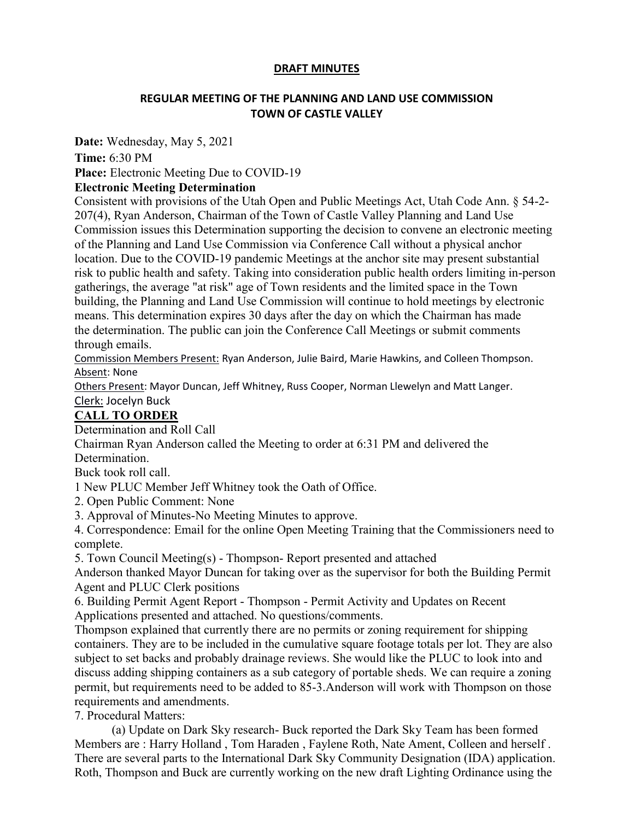## **DRAFT MINUTES**

# **REGULAR MEETING OF THE PLANNING AND LAND USE COMMISSION TOWN OF CASTLE VALLEY**

**Date:** Wednesday, May 5, 2021

**Time:** 6:30 PM

**Place:** Electronic Meeting Due to COVID-19

# **Electronic Meeting Determination**

Consistent with provisions of the Utah Open and Public Meetings Act, Utah Code Ann. § 54-2- 207(4), Ryan Anderson, Chairman of the Town of Castle Valley Planning and Land Use Commission issues this Determination supporting the decision to convene an electronic meeting of the Planning and Land Use Commission via Conference Call without a physical anchor location. Due to the COVID-19 pandemic Meetings at the anchor site may present substantial risk to public health and safety. Taking into consideration public health orders limiting in-person gatherings, the average "at risk" age of Town residents and the limited space in the Town building, the Planning and Land Use Commission will continue to hold meetings by electronic means. This determination expires 30 days after the day on which the Chairman has made the determination. The public can join the Conference Call Meetings or submit comments through emails.

Commission Members Present: Ryan Anderson, Julie Baird, Marie Hawkins, and Colleen Thompson. Absent: None

Others Present: Mayor Duncan, Jeff Whitney, Russ Cooper, Norman Llewelyn and Matt Langer.

Clerk: Jocelyn Buck

# **CALL TO ORDER**

Determination and Roll Call

Chairman Ryan Anderson called the Meeting to order at 6:31 PM and delivered the Determination.

Buck took roll call.

1 New PLUC Member Jeff Whitney took the Oath of Office.

2. Open Public Comment: None

3. Approval of Minutes-No Meeting Minutes to approve.

4. Correspondence: Email for the online Open Meeting Training that the Commissioners need to complete.

5. Town Council Meeting(s) - Thompson- Report presented and attached

Anderson thanked Mayor Duncan for taking over as the supervisor for both the Building Permit Agent and PLUC Clerk positions

6. Building Permit Agent Report - Thompson - Permit Activity and Updates on Recent Applications presented and attached. No questions/comments.

Thompson explained that currently there are no permits or zoning requirement for shipping containers. They are to be included in the cumulative square footage totals per lot. They are also subject to set backs and probably drainage reviews. She would like the PLUC to look into and discuss adding shipping containers as a sub category of portable sheds. We can require a zoning permit, but requirements need to be added to 85-3.Anderson will work with Thompson on those requirements and amendments.

7. Procedural Matters:

(a) Update on Dark Sky research- Buck reported the Dark Sky Team has been formed Members are : Harry Holland , Tom Haraden , Faylene Roth, Nate Ament, Colleen and herself . There are several parts to the International Dark Sky Community Designation (IDA) application. Roth, Thompson and Buck are currently working on the new draft Lighting Ordinance using the